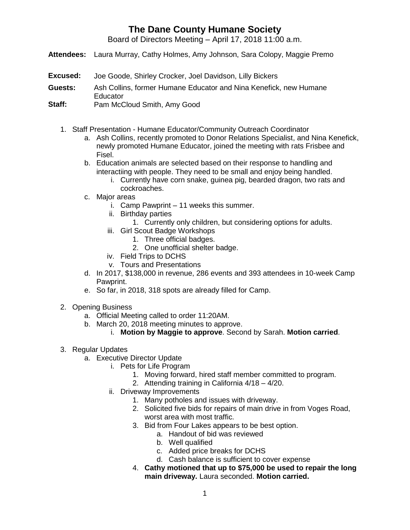## **The Dane County Humane Society**

Board of Directors Meeting – April 17, 2018 11:00 a.m.

- **Attendees:** Laura Murray, Cathy Holmes, Amy Johnson, Sara Colopy, Maggie Premo
- **Excused:** Joe Goode, Shirley Crocker, Joel Davidson, Lilly Bickers
- **Guests:** Ash Collins, former Humane Educator and Nina Kenefick, new Humane **Educator**
- **Staff:** Pam McCloud Smith, Amy Good
	- 1. Staff Presentation Humane Educator/Community Outreach Coordinator
		- a. Ash Collins, recently promoted to Donor Relations Specialist, and Nina Kenefick, newly promoted Humane Educator, joined the meeting with rats Frisbee and Fisel.
		- b. Education animals are selected based on their response to handling and interactiing with people. They need to be small and enjoy being handled.
			- i. Currently have corn snake, guinea pig, bearded dragon, two rats and cockroaches.
		- c. Major areas
			- i. Camp Pawprint 11 weeks this summer.
			- ii. Birthday parties
				- 1. Currently only children, but considering options for adults.
			- iii. Girl Scout Badge Workshops
				- 1. Three official badges.
					- 2. One unofficial shelter badge.
			- iv. Field Trips to DCHS
			- v. Tours and Presentations
		- d. In 2017, \$138,000 in revenue, 286 events and 393 attendees in 10-week Camp Pawprint.
		- e. So far, in 2018, 318 spots are already filled for Camp.
	- 2. Opening Business
		- a. Official Meeting called to order 11:20AM.
		- b. March 20, 2018 meeting minutes to approve.
			- i. **Motion by Maggie to approve**. Second by Sarah. **Motion carried**.
	- 3. Regular Updates
		- a. Executive Director Update
			- i. Pets for Life Program
				- 1. Moving forward, hired staff member committed to program.
				- 2. Attending training in California 4/18 4/20.
			- ii. Driveway Improvements
				- 1. Many potholes and issues with driveway.
				- 2. Solicited five bids for repairs of main drive in from Voges Road, worst area with most traffic.
				- 3. Bid from Four Lakes appears to be best option.
					- a. Handout of bid was reviewed
					- b. Well qualified
					- c. Added price breaks for DCHS
					- d. Cash balance is sufficient to cover expense
				- 4. **Cathy motioned that up to \$75,000 be used to repair the long main driveway.** Laura seconded. **Motion carried.**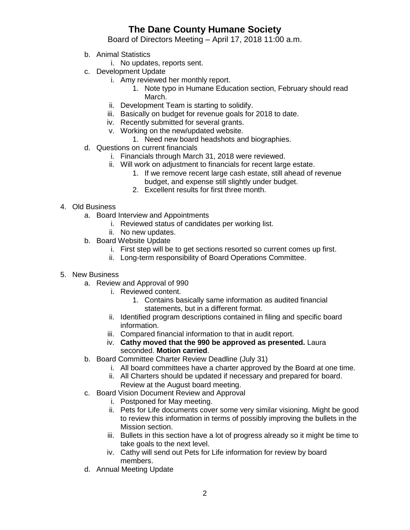## **The Dane County Humane Society**

Board of Directors Meeting – April 17, 2018 11:00 a.m.

- b. Animal Statistics
	- i. No updates, reports sent.
- c. Development Update
	- i. Amy reviewed her monthly report.
		- 1. Note typo in Humane Education section, February should read March.
	- ii. Development Team is starting to solidify.
	- iii. Basically on budget for revenue goals for 2018 to date.
	- iv. Recently submitted for several grants.
	- v. Working on the new/updated website.
		- 1. Need new board headshots and biographies.
- d. Questions on current financials
	- i. Financials through March 31, 2018 were reviewed.
	- ii. Will work on adjustment to financials for recent large estate.
		- 1. If we remove recent large cash estate, still ahead of revenue budget, and expense still slightly under budget.
		- 2. Excellent results for first three month.

## 4. Old Business

- a. Board Interview and Appointments
	- i. Reviewed status of candidates per working list.
	- ii. No new updates.
- b. Board Website Update
	- i. First step will be to get sections resorted so current comes up first.
	- ii. Long-term responsibility of Board Operations Committee.
- 5. New Business
	- a. Review and Approval of 990
		- i. Reviewed content.
			- 1. Contains basically same information as audited financial statements, but in a different format.
		- ii. Identified program descriptions contained in filing and specific board information.
		- iii. Compared financial information to that in audit report.
		- iv. **Cathy moved that the 990 be approved as presented.** Laura seconded. **Motion carried**.
	- b. Board Committee Charter Review Deadline (July 31)
		- i. All board committees have a charter approved by the Board at one time.
		- ii. All Charters should be updated if necessary and prepared for board. Review at the August board meeting.
	- c. Board Vision Document Review and Approval
		- i. Postponed for May meeting.
		- ii. Pets for Life documents cover some very similar visioning. Might be good to review this information in terms of possibly improving the bullets in the Mission section.
		- iii. Bullets in this section have a lot of progress already so it might be time to take goals to the next level.
		- iv. Cathy will send out Pets for Life information for review by board members.
	- d. Annual Meeting Update